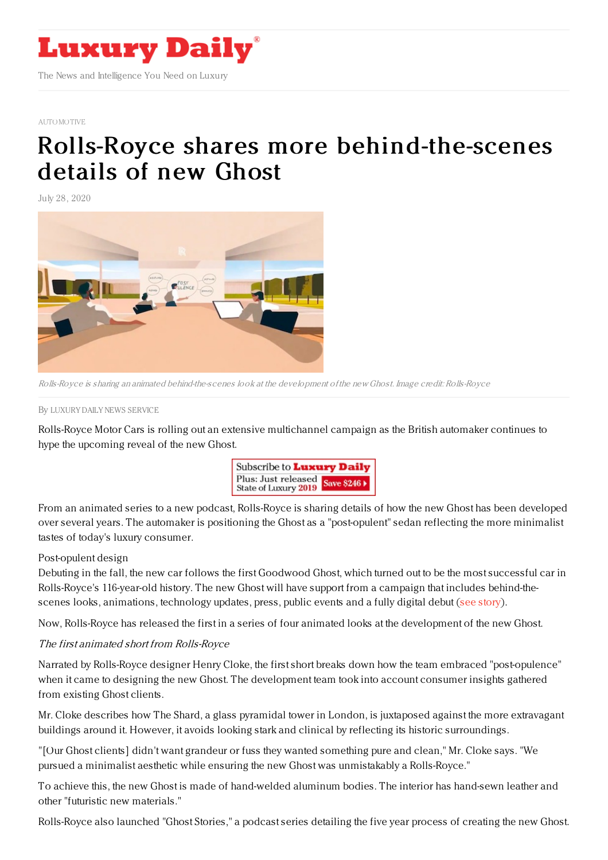

## [AUTOMOTIVE](https://www.luxurydaily.com/category/sectors/automotive-industry-sectors/)

## Rolls-Royce shares more [behind-the-scenes](https://www.luxurydaily.com/rolls-royce-shares-more-behind-the-scenes-details-of-new-ghost/) details of new Ghost

July 28, 2020



Rolls-Royce is sharing an animated behind-the-scenes look at the development of the new Ghost. Image credit: Rolls-Royce

By LUXURY DAILY NEWS [SERVICE](file:///author/luxury-daily-news-service)

Rolls-Royce Motor Cars is rolling out an extensive multichannel campaign as the British automaker continues to hype the upcoming reveal of the new Ghost.



From an animated series to a new podcast, Rolls-Royce is sharing details of how the new Ghost has been developed over several years. The automaker is positioning the Ghost as a "post-opulent" sedan reflecting the more minimalist tastes of today's luxury consumer.

## Post-opulent design

Debuting in the fall, the new car follows the first Goodwood Ghost, which turned out to be the most successful car in Rolls-Royce's 116-year-old history. The new Ghost will have support from a campaign that includes behind-thescenes looks, animations, technology updates, press, public events and a fully digital debut (see [story](https://www.luxurydaily.com/rolls-royce-motor-cars-ceo-pens-open-letter-on-post-opulent-direction-of-new-ghost-model/)).

Now, Rolls-Royce has released the first in a series of four animated looks at the development of the new Ghost.

## The first animated short from Rolls-Royce

Narrated by Rolls-Royce designer Henry Cloke, the first short breaks down how the team embraced "post-opulence" when it came to designing the new Ghost. The development team took into account consumer insights gathered from existing Ghost clients.

Mr. Cloke describes how The Shard, a glass pyramidal tower in London, is juxtaposed against the more extravagant buildings around it. However, it avoids looking stark and clinical by reflecting its historic surroundings.

"[Our Ghost clients] didn't want grandeur or fuss they wanted something pure and clean," Mr. Cloke says. "We pursued a minimalist aesthetic while ensuring the new Ghost was unmistakably a Rolls-Royce."

To achieve this, the new Ghost is made of hand-welded aluminum bodies. The interior has hand-sewn leather and other "futuristic new materials."

Rolls-Royce also launched "Ghost Stories," a podcast series detailing the five year process of creating the new Ghost.